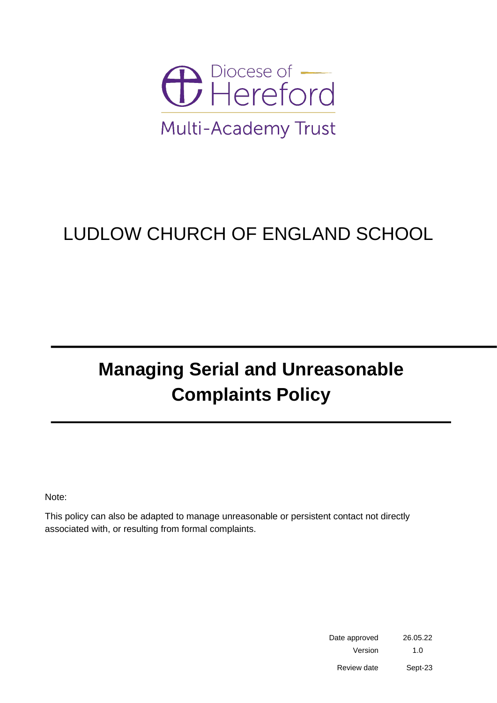

## LUDLOW CHURCH OF ENGLAND SCHOOL

## **Managing Serial and Unreasonable Complaints Policy**

Note:

This policy can also be adapted to manage unreasonable or persistent contact not directly associated with, or resulting from formal complaints.

> Date approved 26.05.22 Version 1.0 Review date Sept-23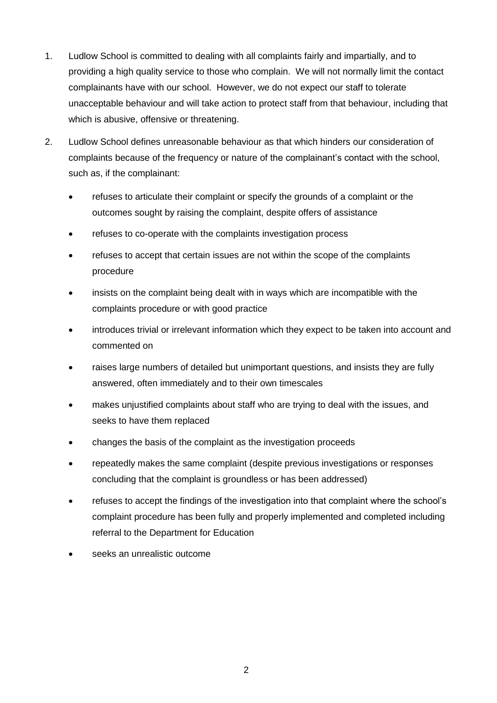- 1. Ludlow School is committed to dealing with all complaints fairly and impartially, and to providing a high quality service to those who complain. We will not normally limit the contact complainants have with our school. However, we do not expect our staff to tolerate unacceptable behaviour and will take action to protect staff from that behaviour, including that which is abusive, offensive or threatening.
- 2. Ludlow School defines unreasonable behaviour as that which hinders our consideration of complaints because of the frequency or nature of the complainant's contact with the school, such as, if the complainant:
	- refuses to articulate their complaint or specify the grounds of a complaint or the outcomes sought by raising the complaint, despite offers of assistance
	- refuses to co-operate with the complaints investigation process
	- refuses to accept that certain issues are not within the scope of the complaints procedure
	- insists on the complaint being dealt with in ways which are incompatible with the complaints procedure or with good practice
	- introduces trivial or irrelevant information which they expect to be taken into account and commented on
	- raises large numbers of detailed but unimportant questions, and insists they are fully answered, often immediately and to their own timescales
	- makes unjustified complaints about staff who are trying to deal with the issues, and seeks to have them replaced
	- changes the basis of the complaint as the investigation proceeds
	- repeatedly makes the same complaint (despite previous investigations or responses concluding that the complaint is groundless or has been addressed)
	- refuses to accept the findings of the investigation into that complaint where the school's complaint procedure has been fully and properly implemented and completed including referral to the Department for Education
	- seeks an unrealistic outcome